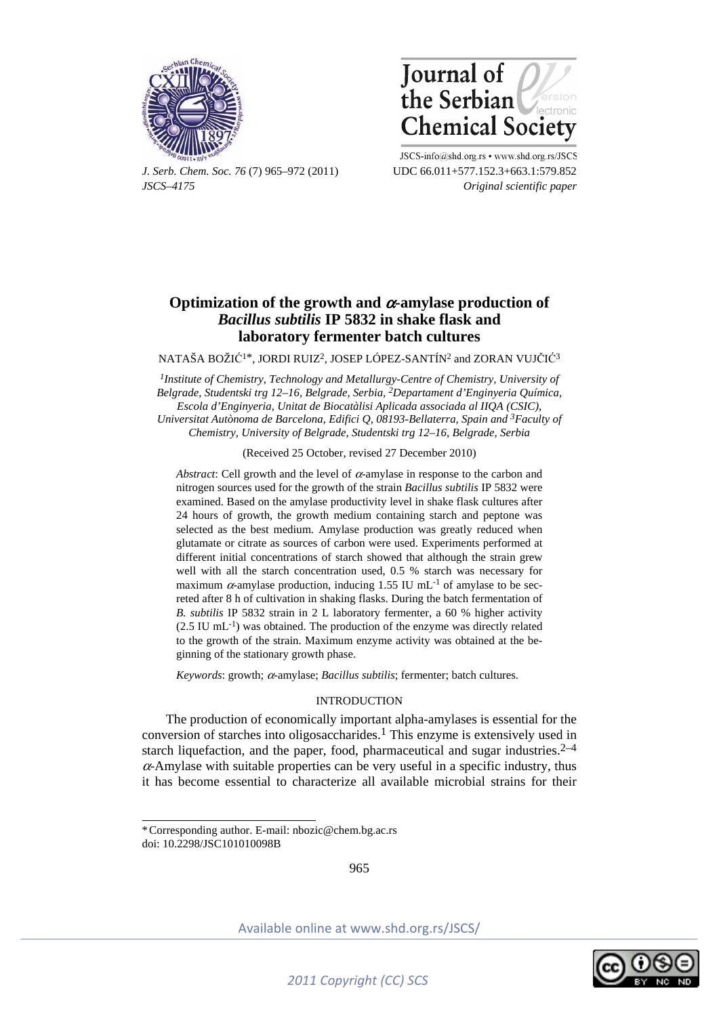



*J. Serb. Chem. Soc. 76* (7) 965–972 (2011) UDC 66.011+577.152.3+663.1:579.852 *JSCS–4175 Original scientific paper* 

JSCS-info@shd.org.rs • www.shd.org.rs/JSCS

# **Optimization of the growth and** α**-amylase production of**  *Bacillus subtilis* **IP 5832 in shake flask and laboratory fermenter batch cultures**

NATAŠA BOŽIĆ1\*, JORDI RUIZ2, JOSEP LÓPEZ-SANTÍN2 and ZORAN VUJČIĆ<sup>3</sup>

*1Institute of Chemistry, Technology and Metallurgy-Centre of Chemistry, University of Belgrade, Studentski trg 12–16, Belgrade, Serbia, 2Departament d'Enginyeria Química, Escola d'Enginyeria, Unitat de Biocatàlisi Aplicada associada al IIQA (CSIC), Universitat Autònoma de Barcelona, Edifici Q, 08193-Bellaterra, Spain and 3Faculty of Chemistry, University of Belgrade, Studentski trg 12–16, Belgrade, Serbia* 

(Received 25 October, revised 27 December 2010)

*Abstract*: Cell growth and the level of  $\alpha$ -amylase in response to the carbon and nitrogen sources used for the growth of the strain *Bacillus subtilis* IP 5832 were examined. Based on the amylase productivity level in shake flask cultures after 24 hours of growth, the growth medium containing starch and peptone was selected as the best medium. Amylase production was greatly reduced when glutamate or citrate as sources of carbon were used. Experiments performed at different initial concentrations of starch showed that although the strain grew well with all the starch concentration used, 0.5 % starch was necessary for maximum  $\alpha$ -amylase production, inducing 1.55 IU mL<sup>-1</sup> of amylase to be secreted after 8 h of cultivation in shaking flasks. During the batch fermentation of *B. subtilis* IP 5832 strain in 2 L laboratory fermenter, a 60 % higher activity  $(2.5 \text{ IU } mL^{-1})$  was obtained. The production of the enzyme was directly related to the growth of the strain. Maximum enzyme activity was obtained at the beginning of the stationary growth phase.

*Keywords*: growth; α-amylase; *Bacillus subtilis*; fermenter; batch cultures.

# INTRODUCTION

The production of economically important alpha-amylases is essential for the conversion of starches into oligosaccharides.<sup>1</sup> This enzyme is extensively used in starch liquefaction, and the paper, food, pharmaceutical and sugar industries. $2-4$  $\alpha$ -Amylase with suitable properties can be very useful in a specific industry, thus it has become essential to characterize all available microbial strains for their

 $\overline{a}$ 

965



<sup>\*</sup> Corresponding author. E-mail: nbozic@chem.bg.ac.rs doi: 10.2298/JSC101010098B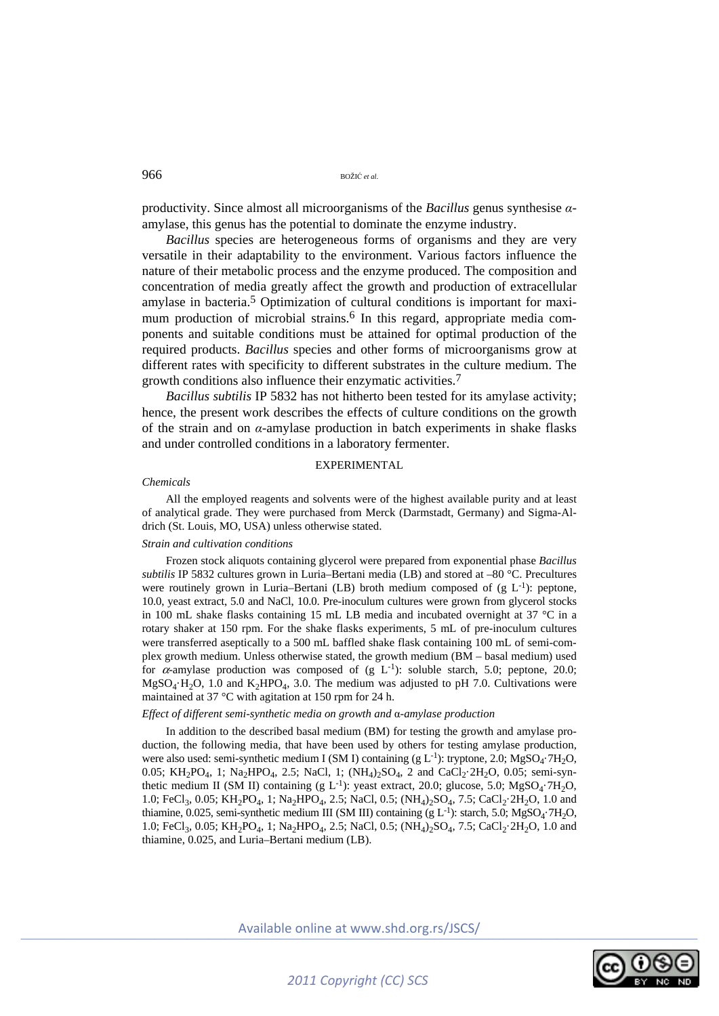productivity. Since almost all microorganisms of the *Bacillus* genus synthesise *α*amylase, this genus has the potential to dominate the enzyme industry.

*Bacillus* species are heterogeneous forms of organisms and they are very versatile in their adaptability to the environment. Various factors influence the nature of their metabolic process and the enzyme produced. The composition and concentration of media greatly affect the growth and production of extracellular amylase in bacteria.5 Optimization of cultural conditions is important for maximum production of microbial strains.<sup>6</sup> In this regard, appropriate media components and suitable conditions must be attained for optimal production of the required products. *Bacillus* species and other forms of microorganisms grow at different rates with specificity to different substrates in the culture medium. The growth conditions also influence their enzymatic activities.7

*Bacillus subtilis* IP 5832 has not hitherto been tested for its amylase activity; hence, the present work describes the effects of culture conditions on the growth of the strain and on *α*-amylase production in batch experiments in shake flasks and under controlled conditions in a laboratory fermenter.

# EXPERIMENTAL

#### *Chemicals*

All the employed reagents and solvents were of the highest available purity and at least of analytical grade. They were purchased from Merck (Darmstadt, Germany) and Sigma-Aldrich (St. Louis, MO, USA) unless otherwise stated.

## *Strain and cultivation conditions*

Frozen stock aliquots containing glycerol were prepared from exponential phase *Bacillus subtilis* IP 5832 cultures grown in Luria–Bertani media (LB) and stored at –80 °C. Precultures were routinely grown in Luria–Bertani (LB) broth medium composed of  $(g L^{-1})$ : peptone, 10.0, yeast extract, 5.0 and NaCl, 10.0. Pre-inoculum cultures were grown from glycerol stocks in 100 mL shake flasks containing 15 mL LB media and incubated overnight at 37 °C in a rotary shaker at 150 rpm. For the shake flasks experiments, 5 mL of pre-inoculum cultures were transferred aseptically to a 500 mL baffled shake flask containing 100 mL of semi-complex growth medium. Unless otherwise stated, the growth medium (BM – basal medium) used for  $\alpha$ -amylase production was composed of (g L<sup>-1</sup>): soluble starch, 5.0; peptone, 20.0;  $MgSO<sub>4</sub>·H<sub>2</sub>O$ , 1.0 and K<sub>2</sub>HPO<sub>4</sub>, 3.0. The medium was adjusted to pH 7.0. Cultivations were maintained at 37 °C with agitation at 150 rpm for 24 h.

## *Effect of different semi-synthetic media on growth and* α*-amylase production*

In addition to the described basal medium (BM) for testing the growth and amylase production, the following media, that have been used by others for testing amylase production, were also used: semi-synthetic medium I (SM I) containing (g  $L^{-1}$ ): tryptone, 2.0; MgSO<sub>4</sub>·7H<sub>2</sub>O, 0.05; KH<sub>2</sub>PO<sub>4</sub>, 1; Na<sub>2</sub>HPO<sub>4</sub>, 2.5; NaCl, 1; (NH<sub>4</sub>)<sub>2</sub>SO<sub>4</sub>, 2 and CaCl<sub>2</sub>·2H<sub>2</sub>O, 0.05; semi-synthetic medium II (SM II) containing (g  $L^{-1}$ ): yeast extract, 20.0; glucose, 5.0; MgSO<sub>4</sub>·7H<sub>2</sub>O, 1.0; FeCl<sub>3</sub>, 0.05; KH<sub>2</sub>PO<sub>4</sub>, 1; Na<sub>2</sub>HPO<sub>4</sub>, 2.5; NaCl, 0.5; (NH<sub>4</sub>)<sub>2</sub>SO<sub>4</sub>, 7.5; CaCl<sub>2</sub>·2H<sub>2</sub>O, 1.0 and thiamine, 0.025, semi-synthetic medium III (SM III) containing (g  $L^{-1}$ ): starch, 5.0; MgSO<sub>4</sub>·7H<sub>2</sub>O, 1.0; FeCl<sub>3</sub>, 0.05; KH<sub>2</sub>PO<sub>4</sub>, 1; Na<sub>2</sub>HPO<sub>4</sub>, 2.5; NaCl, 0.5; (NH<sub>4</sub>)<sub>2</sub>SO<sub>4</sub>, 7.5; CaCl<sub>2</sub>·2H<sub>2</sub>O, 1.0 and thiamine, 0.025, and Luria–Bertani medium (LB).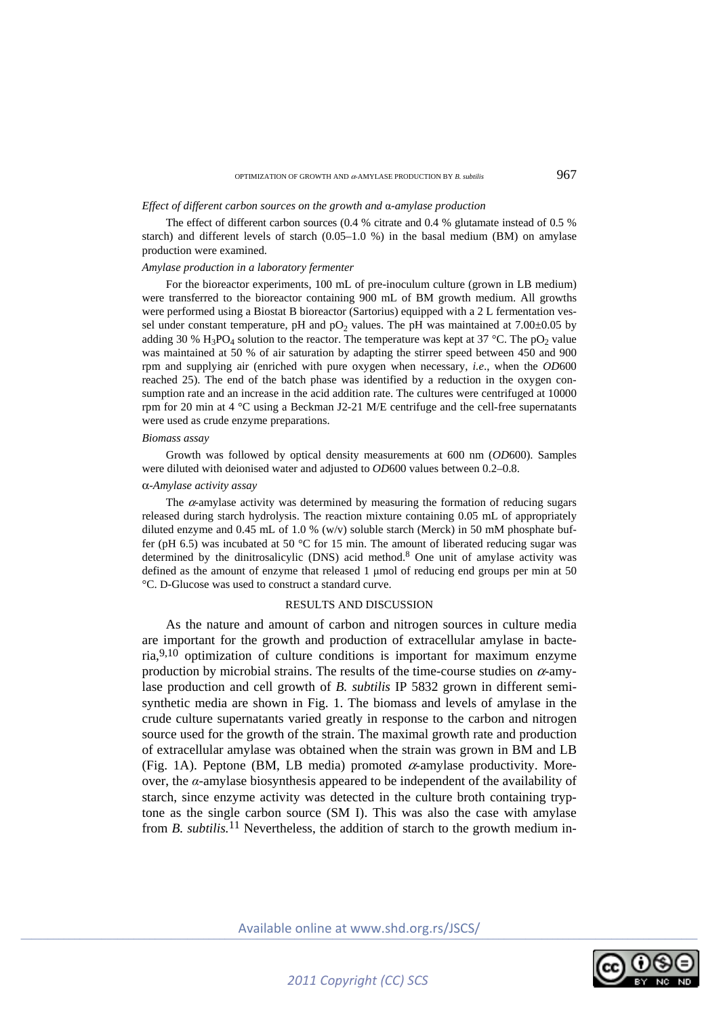#### OPTIMIZATION OF GROWTH AND  $\alpha$ -AMYLASE PRODUCTION BY  $\alpha$ , subtilis  $967$

# *Effect of different carbon sources on the growth and* α*-amylase production*

The effect of different carbon sources (0.4 % citrate and 0.4 % glutamate instead of 0.5 % starch) and different levels of starch  $(0.05-1.0 \%)$  in the basal medium  $(BM)$  on amylase production were examined.

# *Amylase production in a laboratory fermenter*

For the bioreactor experiments, 100 mL of pre-inoculum culture (grown in LB medium) were transferred to the bioreactor containing 900 mL of BM growth medium. All growths were performed using a Biostat B bioreactor (Sartorius) equipped with a 2 L fermentation vessel under constant temperature, pH and  $pO<sub>2</sub>$  values. The pH was maintained at 7.00 $\pm$ 0.05 by adding 30 %  $H_3PO_4$  solution to the reactor. The temperature was kept at 37 °C. The pO<sub>2</sub> value was maintained at 50 % of air saturation by adapting the stirrer speed between 450 and 900 rpm and supplying air (enriched with pure oxygen when necessary, *i.e*., when the *OD*600 reached 25). The end of the batch phase was identified by a reduction in the oxygen consumption rate and an increase in the acid addition rate. The cultures were centrifuged at 10000 rpm for 20 min at 4 °C using a Beckman J2-21 M/E centrifuge and the cell-free supernatants were used as crude enzyme preparations.

# *Biomass assay*

Growth was followed by optical density measurements at 600 nm (*OD*600). Samples were diluted with deionised water and adjusted to *OD*600 values between 0.2–0.8.

# α*-Amylase activity assay*

The  $\alpha$ -amylase activity was determined by measuring the formation of reducing sugars released during starch hydrolysis. The reaction mixture containing 0.05 mL of appropriately diluted enzyme and 0.45 mL of 1.0 % (w/v) soluble starch (Merck) in 50 mM phosphate buffer (pH 6.5) was incubated at 50 °C for 15 min. The amount of liberated reducing sugar was determined by the dinitrosalicylic (DNS) acid method.<sup>8</sup> One unit of amylase activity was defined as the amount of enzyme that released 1 μmol of reducing end groups per min at 50 °C. D-Glucose was used to construct a standard curve.

# RESULTS AND DISCUSSION

As the nature and amount of carbon and nitrogen sources in culture media are important for the growth and production of extracellular amylase in bacteria,9,10 optimization of culture conditions is important for maximum enzyme production by microbial strains. The results of the time-course studies on  $\alpha$ -amylase production and cell growth of *B. subtilis* IP 5832 grown in different semisynthetic media are shown in Fig. 1. The biomass and levels of amylase in the crude culture supernatants varied greatly in response to the carbon and nitrogen source used for the growth of the strain. The maximal growth rate and production of extracellular amylase was obtained when the strain was grown in BM and LB (Fig. 1A). Peptone (BM, LB media) promoted  $\alpha$ -amylase productivity. Moreover, the *α*-amylase biosynthesis appeared to be independent of the availability of starch, since enzyme activity was detected in the culture broth containing tryptone as the single carbon source (SM I). This was also the case with amylase from *B. subtilis.*11 Nevertheless, the addition of starch to the growth medium in-

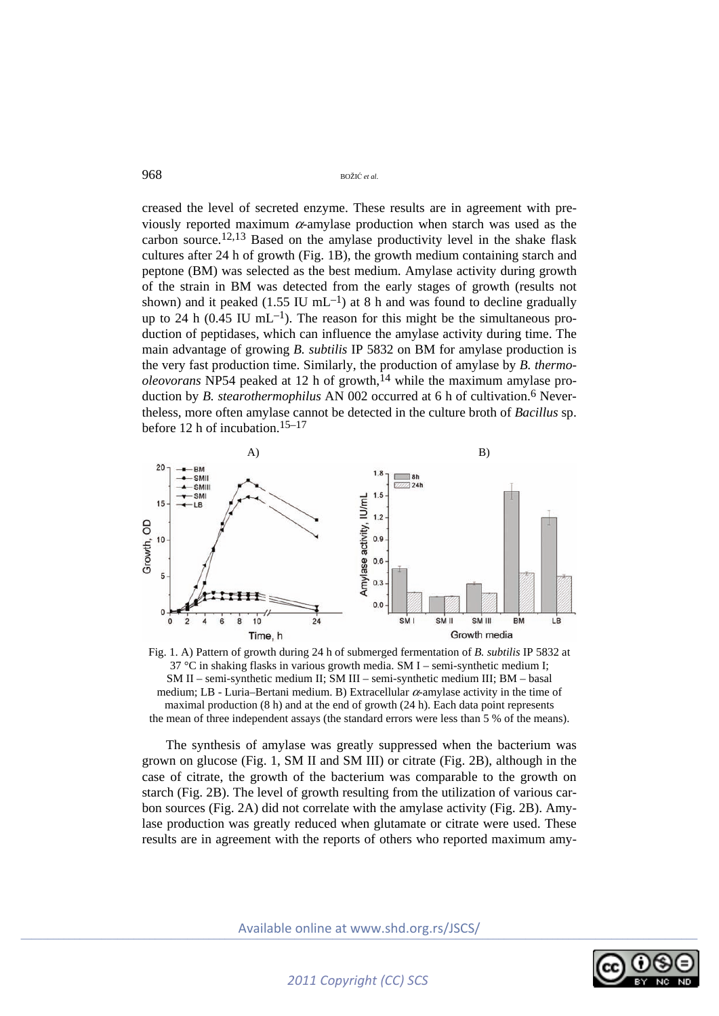creased the level of secreted enzyme. These results are in agreement with previously reported maximum  $\alpha$ -amylase production when starch was used as the carbon source.12,13 Based on the amylase productivity level in the shake flask cultures after 24 h of growth (Fig. 1B), the growth medium containing starch and peptone (BM) was selected as the best medium. Amylase activity during growth of the strain in BM was detected from the early stages of growth (results not shown) and it peaked (1.55 IU mL<sup>-1</sup>) at 8 h and was found to decline gradually up to 24 h  $(0.45 \text{ IU } mL^{-1})$ . The reason for this might be the simultaneous production of peptidases, which can influence the amylase activity during time. The main advantage of growing *B. subtilis* IP 5832 on BM for amylase production is the very fast production time. Similarly, the production of amylase by *B. thermo* $oleovoras$  NP54 peaked at 12 h of growth,<sup>14</sup> while the maximum amylase production by *B. stearothermophilus* AN 002 occurred at 6 h of cultivation.<sup>6</sup> Nevertheless, more often amylase cannot be detected in the culture broth of *Bacillus* sp. before 12 h of incubation.15–17



Fig. 1. A) Pattern of growth during 24 h of submerged fermentation of *B. subtilis* IP 5832 at 37 °C in shaking flasks in various growth media. SM I – semi-synthetic medium I; SM II – semi-synthetic medium II; SM III – semi-synthetic medium III; BM – basal medium; LB - Luria–Bertani medium. B) Extracellular  $\alpha$ -amylase activity in the time of maximal production (8 h) and at the end of growth (24 h). Each data point represents the mean of three independent assays (the standard errors were less than 5 % of the means).

The synthesis of amylase was greatly suppressed when the bacterium was grown on glucose (Fig. 1, SM II and SM III) or citrate (Fig. 2B), although in the case of citrate, the growth of the bacterium was comparable to the growth on starch (Fig. 2B). The level of growth resulting from the utilization of various carbon sources (Fig. 2A) did not correlate with the amylase activity (Fig. 2B). Amylase production was greatly reduced when glutamate or citrate were used. These results are in agreement with the reports of others who reported maximum amy-

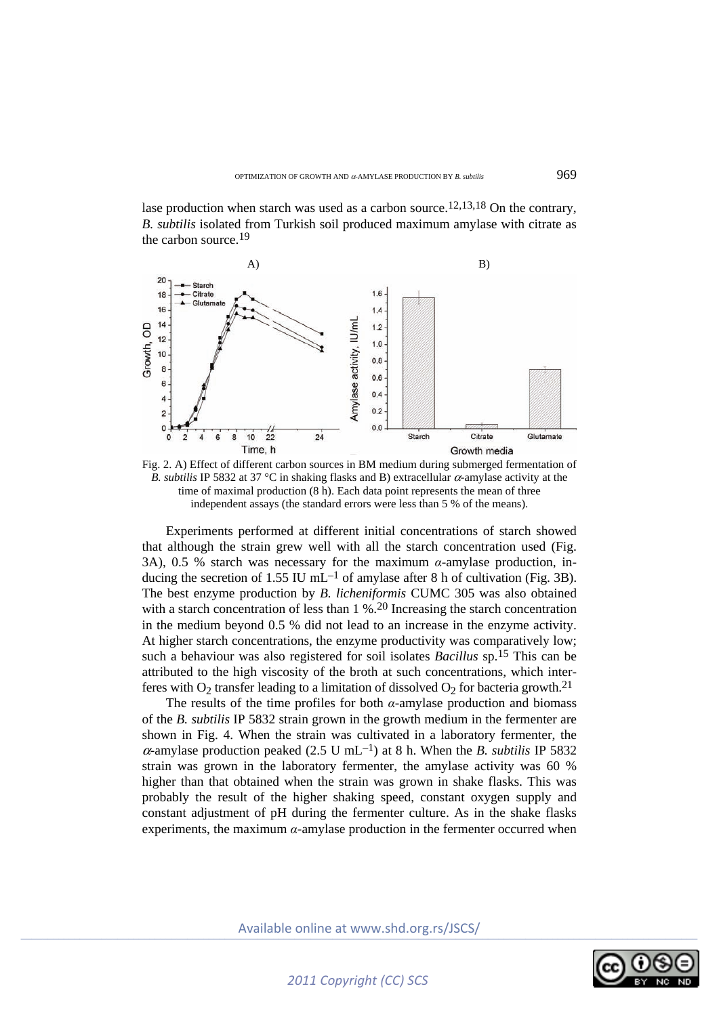lase production when starch was used as a carbon source.<sup>12,13,18</sup> On the contrary, *B. subtilis* isolated from Turkish soil produced maximum amylase with citrate as the carbon source.19



Fig. 2. A) Effect of different carbon sources in BM medium during submerged fermentation of *B. subtilis* IP 5832 at 37 °C in shaking flasks and B) extracellular α-amylase activity at the time of maximal production (8 h). Each data point represents the mean of three independent assays (the standard errors were less than 5 % of the means).

Experiments performed at different initial concentrations of starch showed that although the strain grew well with all the starch concentration used (Fig. 3A), 0.5 % starch was necessary for the maximum *α*-amylase production, inducing the secretion of 1.55 IU mL<sup>-1</sup> of amylase after 8 h of cultivation (Fig. 3B). The best enzyme production by *B. licheniformis* CUMC 305 was also obtained with a starch concentration of less than 1 %.<sup>20</sup> Increasing the starch concentration in the medium beyond 0.5 % did not lead to an increase in the enzyme activity. At higher starch concentrations, the enzyme productivity was comparatively low; such a behaviour was also registered for soil isolates *Bacillus* sp.15 This can be attributed to the high viscosity of the broth at such concentrations, which interferes with  $O_2$  transfer leading to a limitation of dissolved  $O_2$  for bacteria growth.<sup>21</sup>

The results of the time profiles for both  $\alpha$ -amylase production and biomass of the *B. subtilis* IP 5832 strain grown in the growth medium in the fermenter are shown in Fig. 4. When the strain was cultivated in a laboratory fermenter, the  $\alpha$ -amylase production peaked (2.5 U mL<sup>-1</sup>) at 8 h. When the *B*. *subtilis* IP 5832 strain was grown in the laboratory fermenter, the amylase activity was 60 % higher than that obtained when the strain was grown in shake flasks. This was probably the result of the higher shaking speed, constant oxygen supply and constant adjustment of pH during the fermenter culture. As in the shake flasks experiments, the maximum  $\alpha$ -amylase production in the fermenter occurred when

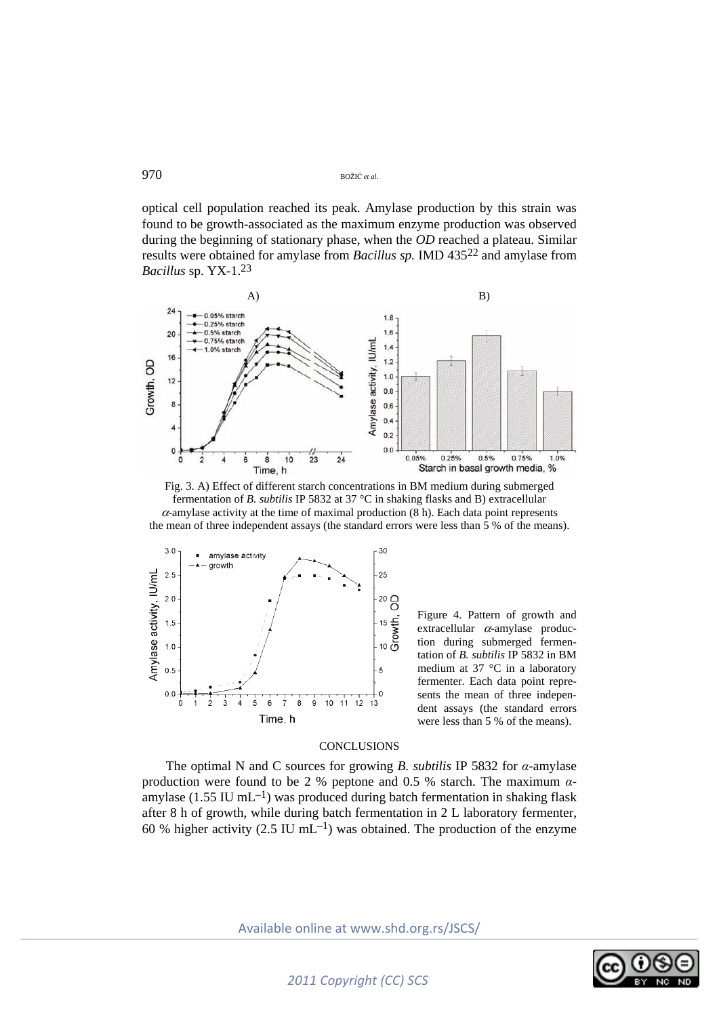optical cell population reached its peak. Amylase production by this strain was found to be growth-associated as the maximum enzyme production was observed during the beginning of stationary phase, when the *OD* reached a plateau. Similar results were obtained for amylase from *Bacillus sp.* IMD 43522 and amylase from *Bacillus* sp. YX-1.23







Figure 4. Pattern of growth and extracellular  $\alpha$ -amylase production during submerged fermentation of *B. subtilis* IP 5832 in BM medium at 37 °C in a laboratory fermenter. Each data point represents the mean of three independent assays (the standard errors were less than 5 % of the means).

# **CONCLUSIONS**

The optimal N and C sources for growing *B. subtilis* IP 5832 for *α*-amylase production were found to be 2 % peptone and 0.5 % starch. The maximum *α*amylase (1.55 IU mL $^{-1}$ ) was produced during batch fermentation in shaking flask after 8 h of growth, while during batch fermentation in 2 L laboratory fermenter, 60 % higher activity (2.5 IU mL<sup>-1</sup>) was obtained. The production of the enzyme

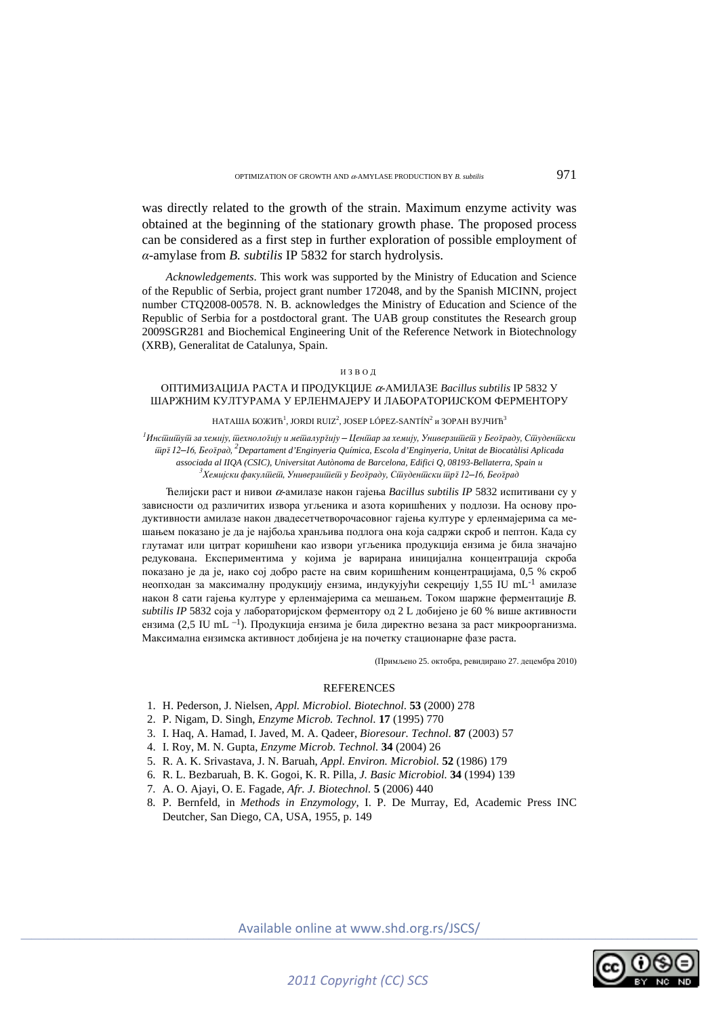was directly related to the growth of the strain. Maximum enzyme activity was obtained at the beginning of the stationary growth phase. The proposed process can be considered as a first step in further exploration of possible employment of *α*-amylase from *B. subtilis* IP 5832 for starch hydrolysis.

*Acknowledgements*. This work was supported by the Ministry of Education and Science of the Republic of Serbia, project grant number 172048, and by the Spanish MICINN, project number CTQ2008-00578. N. B. acknowledges the Ministry of Education and Science of the Republic of Serbia for a postdoctoral grant. The UAB group constitutes the Research group 2009SGR281 and Biochemical Engineering Unit of the Reference Network in Biotechnology (XRB), Generalitat de Catalunya, Spain.

#### ИЗВОД

# ОПТИМИЗАЦИЈА РАСТА И ПРОДУКЦИЈЕ <sup>α</sup>-АМИЛАЗЕ *Bacillus subtilis* IP 5832 У ШАРЖНИМ КУЛТУРАМА У ЕРЛЕНМАЈЕРУ И ЛАБОРАТОРИЈСКОМ ФЕРМЕНТОРУ

#### НАТАША БОЖИЋ $^1$ , JORDI RUIZ $^2$ , JOSEP LÓPEZ-SANTÍN $^2$  и ЗОРАН ВУЈЧИЋ $^3$

<sup>1</sup>Инсійийуій за хемију, ійехноло**гију и мейдалур**гију – Ценійар за хемију, Универзийеей у Београду, Сійуденійски *trg 12–16, Beograd, <sup>2</sup> Departament d'Enginyeria Química, Escola d'Enginyeria, Unitat de Biocatàlisi Aplicada associada al IIQA (CSIC), Universitat Autònoma de Barcelona, Edifici Q, 08193-Bellaterra, Spain i 3 Hemijski fakultet, Univerzitet u Beogradu, Studentski trg 12–16, Beograd* 

Ћелијски раст и нивои <sup>α</sup>-амилазе након гајења *Bacillus subtilis IP* 5832 испитивани су у зависности од различитих извора угљеника и азота коришћених у подлози. На основу продуктивности амилазе након двадесетчетворочасовног гајења културе у ерленмајерима са мешањем показано је да је најбоља хранљива подлога она која садржи скроб и пептон. Када су глутамат или цитрат коришћени као извори угљеника продукција ензима је била значајно редукована. Експериментима у којима је варирана иницијална концентрација скроба показано је да је, иако сој добро расте на свим коришћеним концентрацијама, 0,5 % скроб неопходан за максималну продукцију ензима, индукујући секрецију 1,55 IU mL-1 амилазе након 8 сати гајења културе у ерленмајерима са мешањем. Током шаржне ферментације *B. subtilis IP* 5832 соја у лабораторијском ферментору од 2 L добијено је 60 % више активности ензима (2,5 IU mL –1). Продукција ензима је била директно везана за раст микроорганизма. Максимална ензимска активност добијена је на почетку стационарне фазе раста.

(Примљено 25. октобра, ревидирано 27. децембра 2010)

## **REFERENCES**

- 1. H. Pederson, J. Nielsen, *Appl. Microbiol. Biotechnol*. **53** (2000) 278
- 2. P. Nigam, D. Singh, *Enzyme Microb. Technol*. **17** (1995) 770
- 3. I. Haq, A. Hamad, I. Javed, M. A. Qadeer, *Bioresour. Technol*. **87** (2003) 57
- 4. I. Roy, M. N. Gupta, *Enzyme Microb. Technol.* **34** (2004) 26
- 5. R. A. K. Srivastava, J. N. Baruah, *Appl. Environ. Microbiol.* **52** (1986) 179
- 6. R. L. Bezbaruah, B. K. Gogoi, K. R. Pilla, *J. Basic Microbiol.* **34** (1994) 139
- 7. A. O. Ajayi, O. E. Fagade, *Afr. J. Biotechnol.* **5** (2006) 440
- 8. P. Bernfeld, in *Methods in Enzymology*, I. P. De Murray, Ed, Academic Press INC Deutcher, San Diego, CA, USA, 1955, p. 149